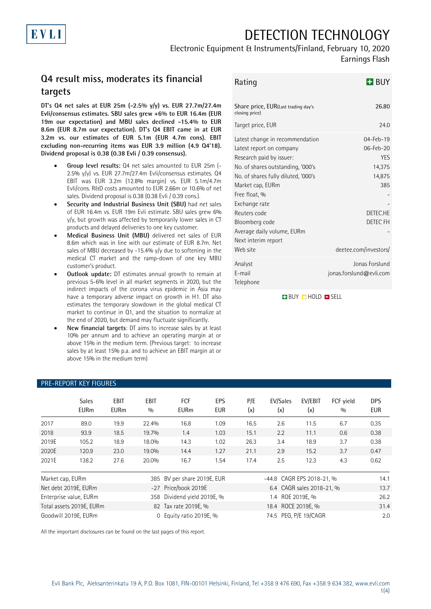# DETECTION TECHNOLOGY

Electronic Equipment & Instruments/Finland, February 10, 2020

# Earnings Flash

# **Q4 result miss, moderates its financial targets**

**DT's Q4 net sales at EUR 25m (-2.5% y/y) vs. EUR 27.7m/27.4m Evli/consensus estimates. SBU sales grew +6% to EUR 16.4m (EUR 19m our expectation) and MBU sales declined -15.4% to EUR 8.6m (EUR 8.7m our expectation). DT's Q4 EBIT came in at EUR 3.2m vs. our estimates of EUR 5.1m (EUR 4.7m cons). EBIT excluding non-recurring items was EUR 3.9 million (4.9 Q4'18). Dividend proposal is 0.38 (0.38 Evli / 0.39 consensus).** 

- **Group level results:** Q4 net sales amounted to EUR 25m (- 2.5% y/y) vs. EUR 27.7m/27.4m Evli/consensus estimates. Q4 EBIT was EUR 3.2m (12.8% margin) vs. EUR 5.1m/4.7m Evli/cons. R&D costs amounted to EUR 2.66m or 10.6% of net sales. Dividend proposal is 0.38 (0.38 Evli / 0.39 cons.).
- **Security and Industrial Business Unit (SBU)** had net sales of EUR 16.4m vs. EUR 19m Evli estimate. SBU sales grew 6% y/y, but growth was affected by temporarily lower sales in CT products and delayed deliveries to one key customer.
- **Medical Business Unit (MBU)** delivered net sales of EUR 8.6m which was in line with our estimate of EUR 8.7m. Net sales of MBU decreased by -15.4% y/y due to softening in the medical CT market and the ramp-down of one key MBU customer's product.
- **Outlook update:** DT estimates annual growth to remain at previous 5-6% level in all market segments in 2020, but the indirect impacts of the corona virus epidemic in Asia may have a temporary adverse impact on growth in H1. DT also estimates the temporary slowdown in the global medical CT market to continue in Q1, and the situation to normalize at the end of 2020, but demand may fluctuate significantly.
- **New financial targets**: DT aims to increase sales by at least 10% per annum and to achieve an operating margin at or above 15% in the medium term. (Previous target: to increase sales by at least 15% p.a. and to achieve an EBIT margin at or above 15% in the medium term)

| Rating                                                                                                                                                                                                                                                                                                                       | H BUY                                                                                                            |
|------------------------------------------------------------------------------------------------------------------------------------------------------------------------------------------------------------------------------------------------------------------------------------------------------------------------------|------------------------------------------------------------------------------------------------------------------|
| Share price, EUR(Last trading day's<br>closing price)                                                                                                                                                                                                                                                                        | 26.80                                                                                                            |
| Target price, EUR                                                                                                                                                                                                                                                                                                            | 24.0                                                                                                             |
| Latest change in recommendation<br>Latest report on company<br>Research paid by issuer:<br>No. of shares outstanding, '000's<br>No. of shares fully diluted, '000's<br>Market cap, EURm<br>Free float, %<br>Exchange rate<br>Reuters code<br>Bloomberg code<br>Average daily volume, EURm<br>Next interim report<br>Web site | 04-Feb-19<br>06-Feb-20<br>YES<br>14,375<br>14,875<br>385<br>DETEC.HE<br><b>DETEC FH</b><br>deetee.com/investors/ |
| Analyst<br>E-mail<br>Telephone                                                                                                                                                                                                                                                                                               | Jonas Forslund<br>jonas.forslund@evli.com                                                                        |

**BUY O HOLD O SELL** 

|                          | <b>Sales</b><br><b>EURm</b> | <b>EBIT</b><br><b>EURm</b> | <b>EBIT</b><br>0/0          | FCF<br><b>EURm</b>   | EPS<br><b>EUR</b>     | P/E<br>(x)                | EV/Sales<br>(x) | EV/EBIT<br>(x) | FCF vield<br>0/0 | <b>DPS</b><br>EUR |
|--------------------------|-----------------------------|----------------------------|-----------------------------|----------------------|-----------------------|---------------------------|-----------------|----------------|------------------|-------------------|
| 2017                     | 89.0                        | 19.9                       | 22.4%                       | 16.8                 | 1.09                  | 16.5                      | 2.6             | 11.5           | 6.7              | 0.35              |
| 2018                     | 93.9                        | 18.5                       | 19.7%                       | 1.4                  | 1.03                  | 15.1                      | 2.2             | 11.1           | 0.6              | 0.38              |
| 2019E                    | 105.2                       | 18.9                       | 18.0%                       | 14.3                 | 1.02                  | 26.3                      | 3.4             | 18.9           | 3.7              | 0.38              |
| 2020E                    | 120.9                       | 23.0                       | 19.0%                       | 14.4                 | 1.27                  | 21.1                      | 2.9             | 15.2           | 3.7              | 0.47              |
| 2021E                    | 138.2                       | 27.6                       | 20.0%                       | 16.7                 | 1.54                  | 17.4                      | 2.5             | 12.3           | 4.3              | 0.62              |
| Market cap, EURm         |                             |                            | 385 BV per share 2019E, EUR |                      |                       | -44.8 CAGR EPS 2018-21, % |                 |                | 14.1             |                   |
| Net debt 2019E, EURm     |                             |                            | -27 Price/book 2019E        |                      |                       | 6.4 CAGR sales 2018-21, % |                 |                |                  |                   |
| Enterprise value, EURm   |                             |                            | 358 Dividend yield 2019E, % |                      |                       | 1.4 ROE 2019E, %          |                 |                |                  |                   |
| Total assets 2019E, EURm |                             |                            |                             | 82 Tax rate 2019E, % |                       | 18.4 ROCE 2019E, %        |                 |                |                  | 31.4              |
| Goodwill 2019E, EURm     |                             |                            | 0 Equity ratio 2019E, %     |                      | 74.5 PEG, P/E 19/CAGR |                           |                 |                | 2.0              |                   |

### PRE-REPORT KEY FIGURES

All the important disclosures can be found on the last pages of this report.

EVLI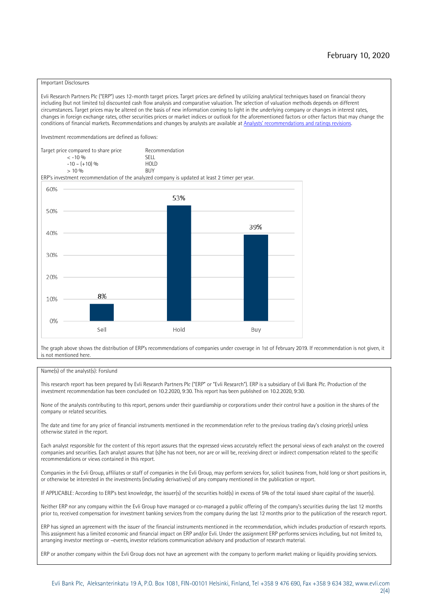#### Important Disclosures

Evli Research Partners Plc ("ERP") uses 12-month target prices. Target prices are defined by utilizing analytical techniques based on financial theory including (but not limited to) discounted cash flow analysis and comparative valuation. The selection of valuation methods depends on different circumstances. Target prices may be altered on the basis of new information coming to light in the underlying company or changes in interest rates, changes in foreign exchange rates, other securities prices or market indices or outlook for the aforementioned factors or other factors that may change the conditions of financial markets. Recommendations and changes by analysts are available at [Analysts' recommendations and ratings revisions](https://research.evli.com/JasperAllModels.action?authParam=key;461&authParam=x;G3rNagWrtf7K&authType=3). Investment recommendations are defined as follows: Target price compared to share price Recommendation<br> $\epsilon$  -10 %  $\langle 5, 10, 10 \rangle$  SELL<br>  $\langle -10, 6, 10 \rangle$  SELL<br>  $\langle 10, 10, 10 \rangle$  $-10 - (+10) \%$  HOLD<br>> 10 % BUY  $> 10\%$ ERP's investment recommendation of the analyzed company is updated at least 2 timer per year. 60% 53% 50% 39% 40% 30%  $20%$ 8% 10% 0% Sell Hold Buy

The graph above shows the distribution of ERP's recommendations of companies under coverage in 1st of February 2019. If recommendation is not given, it is not mentioned here.

#### Name(s) of the analyst(s): Forslund

This research report has been prepared by Evli Research Partners Plc ("ERP" or "Evli Research"). ERP is a subsidiary of Evli Bank Plc. Production of the investment recommendation has been concluded on 10.2.2020, 9:30. This report has been published on 10.2.2020, 9:30.

None of the analysts contributing to this report, persons under their guardianship or corporations under their control have a position in the shares of the company or related securities.

The date and time for any price of financial instruments mentioned in the recommendation refer to the previous trading day's closing price(s) unless otherwise stated in the report.

Each analyst responsible for the content of this report assures that the expressed views accurately reflect the personal views of each analyst on the covered companies and securities. Each analyst assures that (s)he has not been, nor are or will be, receiving direct or indirect compensation related to the specific recommendations or views contained in this report.

Companies in the Evli Group, affiliates or staff of companies in the Evli Group, may perform services for, solicit business from, hold long or short positions in, or otherwise be interested in the investments (including derivatives) of any company mentioned in the publication or report.

IF APPLICABLE: According to ERP's best knowledge, the issuer(s) of the securities hold(s) in excess of 5% of the total issued share capital of the issuer(s).

Neither ERP nor any company within the Evli Group have managed or co-managed a public offering of the company's securities during the last 12 months prior to, received compensation for investment banking services from the company during the last 12 months prior to the publication of the research report.

ERP has signed an agreement with the issuer of the financial instruments mentioned in the recommendation, which includes production of research reports. This assignment has a limited economic and financial impact on ERP and/or Evli. Under the assignment ERP performs services including, but not limited to, arranging investor meetings or –events, investor relations communication advisory and production of research material.

ERP or another company within the Evli Group does not have an agreement with the company to perform market making or liquidity providing services.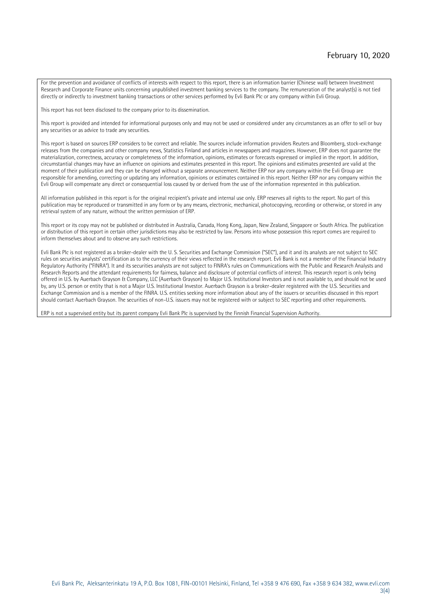For the prevention and avoidance of conflicts of interests with respect to this report, there is an information barrier (Chinese wall) between Investment Research and Corporate Finance units concerning unpublished investment banking services to the company. The remuneration of the analyst(s) is not tied directly or indirectly to investment banking transactions or other services performed by Evli Bank Plc or any company within Evli Group.

This report has not been disclosed to the company prior to its dissemination.

This report is provided and intended for informational purposes only and may not be used or considered under any circumstances as an offer to sell or buy any securities or as advice to trade any securities.

This report is based on sources ERP considers to be correct and reliable. The sources include information providers Reuters and Bloomberg, stock-exchange releases from the companies and other company news, Statistics Finland and articles in newspapers and magazines. However, ERP does not guarantee the materialization, correctness, accuracy or completeness of the information, opinions, estimates or forecasts expressed or implied in the report. In addition, circumstantial changes may have an influence on opinions and estimates presented in this report. The opinions and estimates presented are valid at the moment of their publication and they can be changed without a separate announcement. Neither ERP nor any company within the Evli Group are responsible for amending, correcting or updating any information, opinions or estimates contained in this report. Neither ERP nor any company within the Evli Group will compensate any direct or consequential loss caused by or derived from the use of the information represented in this publication.

All information published in this report is for the original recipient's private and internal use only. ERP reserves all rights to the report. No part of this publication may be reproduced or transmitted in any form or by any means, electronic, mechanical, photocopying, recording or otherwise, or stored in any retrieval system of any nature, without the written permission of ERP.

This report or its copy may not be published or distributed in Australia, Canada, Hong Kong, Japan, New Zealand, Singapore or South Africa. The publication or distribution of this report in certain other jurisdictions may also be restricted by law. Persons into whose possession this report comes are required to inform themselves about and to observe any such restrictions.

Evli Bank Plc is not registered as a broker-dealer with the U. S. Securities and Exchange Commission ("SEC"), and it and its analysts are not subject to SEC rules on securities analysts' certification as to the currency of their views reflected in the research report. Evli Bank is not a member of the Financial Industry Regulatory Authority ("FINRA"). It and its securities analysts are not subject to FINRA's rules on Communications with the Public and Research Analysts and Research Reports and the attendant requirements for fairness, balance and disclosure of potential conflicts of interest. This research report is only being offered in U.S. by Auerbach Grayson & Company, LLC (Auerbach Grayson) to Major U.S. Institutional Investors and is not available to, and should not be used by, any U.S. person or entity that is not a Major U.S. Institutional Investor. Auerbach Grayson is a broker-dealer registered with the U.S. Securities and Exchange Commission and is a member of the FINRA. U.S. entities seeking more information about any of the issuers or securities discussed in this report should contact Auerbach Grayson. The securities of non-U.S. issuers may not be registered with or subject to SEC reporting and other requirements.

ERP is not a supervised entity but its parent company Evli Bank Plc is supervised by the Finnish Financial Supervision Authority.